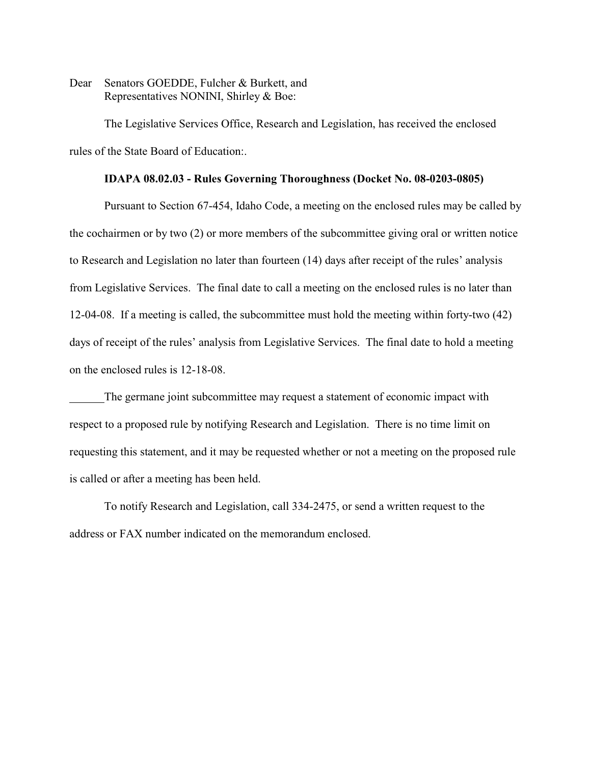Dear Senators GOEDDE, Fulcher & Burkett, and Representatives NONINI, Shirley & Boe:

The Legislative Services Office, Research and Legislation, has received the enclosed rules of the State Board of Education:.

## **IDAPA 08.02.03 - Rules Governing Thoroughness (Docket No. 08-0203-0805)**

Pursuant to Section 67-454, Idaho Code, a meeting on the enclosed rules may be called by the cochairmen or by two (2) or more members of the subcommittee giving oral or written notice to Research and Legislation no later than fourteen (14) days after receipt of the rules' analysis from Legislative Services. The final date to call a meeting on the enclosed rules is no later than 12-04-08. If a meeting is called, the subcommittee must hold the meeting within forty-two (42) days of receipt of the rules' analysis from Legislative Services. The final date to hold a meeting on the enclosed rules is 12-18-08.

The germane joint subcommittee may request a statement of economic impact with respect to a proposed rule by notifying Research and Legislation. There is no time limit on requesting this statement, and it may be requested whether or not a meeting on the proposed rule is called or after a meeting has been held.

To notify Research and Legislation, call 334-2475, or send a written request to the address or FAX number indicated on the memorandum enclosed.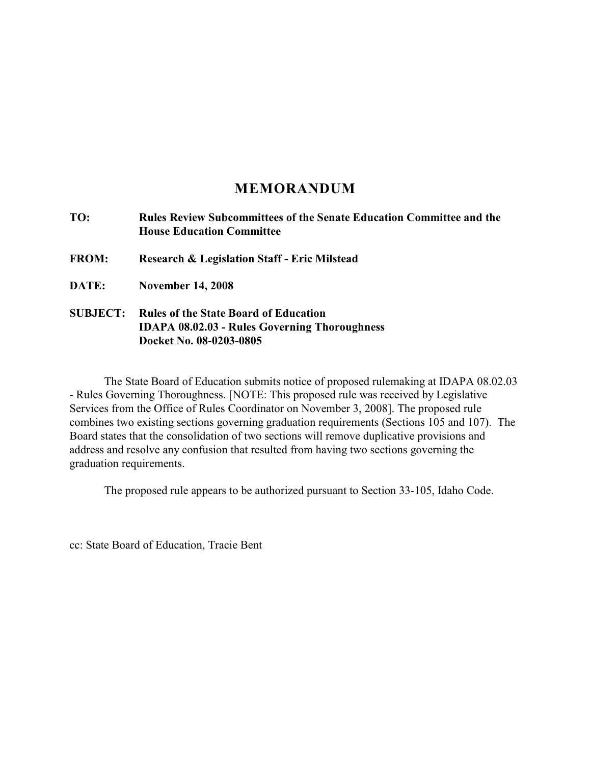# **MEMORANDUM**

| TO:             | <b>Rules Review Subcommittees of the Senate Education Committee and the</b><br><b>House Education Committee</b>                 |
|-----------------|---------------------------------------------------------------------------------------------------------------------------------|
| <b>FROM:</b>    | Research & Legislation Staff - Eric Milstead                                                                                    |
| DATE:           | <b>November 14, 2008</b>                                                                                                        |
| <b>SUBJECT:</b> | <b>Rules of the State Board of Education</b><br><b>IDAPA 08.02.03 - Rules Governing Thoroughness</b><br>Docket No. 08-0203-0805 |

The State Board of Education submits notice of proposed rulemaking at IDAPA 08.02.03 - Rules Governing Thoroughness. [NOTE: This proposed rule was received by Legislative Services from the Office of Rules Coordinator on November 3, 2008]. The proposed rule combines two existing sections governing graduation requirements (Sections 105 and 107). The Board states that the consolidation of two sections will remove duplicative provisions and address and resolve any confusion that resulted from having two sections governing the graduation requirements.

The proposed rule appears to be authorized pursuant to Section 33-105, Idaho Code.

cc: State Board of Education, Tracie Bent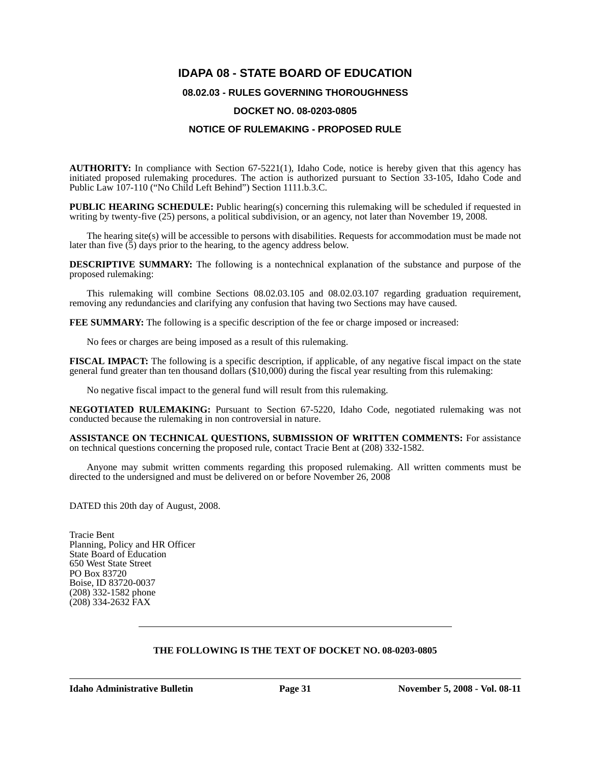## **IDAPA 08 - STATE BOARD OF EDUCATION**

## **08.02.03 - RULES GOVERNING THOROUGHNESS**

#### **DOCKET NO. 08-0203-0805**

## **NOTICE OF RULEMAKING - PROPOSED RULE**

**AUTHORITY:** In compliance with Section 67-5221(1), Idaho Code, notice is hereby given that this agency has initiated proposed rulemaking procedures. The action is authorized pursuant to Section 33-105, Idaho Code and Public Law 107-110 ("No Child Left Behind") Section 1111.b.3.C.

**PUBLIC HEARING SCHEDULE:** Public hearing(s) concerning this rulemaking will be scheduled if requested in writing by twenty-five (25) persons, a political subdivision, or an agency, not later than November 19, 2008.

The hearing site(s) will be accessible to persons with disabilities. Requests for accommodation must be made not later than five  $(5)$  days prior to the hearing, to the agency address below.

**DESCRIPTIVE SUMMARY:** The following is a nontechnical explanation of the substance and purpose of the proposed rulemaking:

This rulemaking will combine Sections 08.02.03.105 and 08.02.03.107 regarding graduation requirement, removing any redundancies and clarifying any confusion that having two Sections may have caused.

**FEE SUMMARY:** The following is a specific description of the fee or charge imposed or increased:

No fees or charges are being imposed as a result of this rulemaking.

**FISCAL IMPACT:** The following is a specific description, if applicable, of any negative fiscal impact on the state general fund greater than ten thousand dollars (\$10,000) during the fiscal year resulting from this rulemaking:

No negative fiscal impact to the general fund will result from this rulemaking.

**NEGOTIATED RULEMAKING:** Pursuant to Section 67-5220, Idaho Code, negotiated rulemaking was not conducted because the rulemaking in non controversial in nature.

**ASSISTANCE ON TECHNICAL QUESTIONS, SUBMISSION OF WRITTEN COMMENTS:** For assistance on technical questions concerning the proposed rule, contact Tracie Bent at (208) 332-1582.

Anyone may submit written comments regarding this proposed rulemaking. All written comments must be directed to the undersigned and must be delivered on or before November 26, 2008

DATED this 20th day of August, 2008.

Tracie Bent Planning, Policy and HR Officer State Board of Education 650 West State Street PO Box 83720 Boise, ID 83720-0037 (208) 332-1582 phone (208) 334-2632 FAX

## **THE FOLLOWING IS THE TEXT OF DOCKET NO. 08-0203-0805**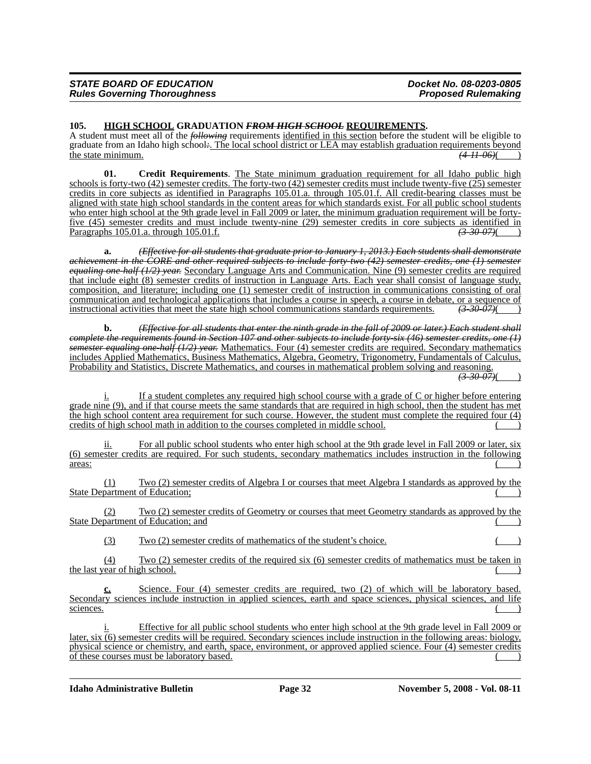#### **105. HIGH SCHOOL GRADUATION** *FROM HIGH SCHOOL* **REQUIREMENTS.**

A student must meet all of the *following* requirements identified in this section before the student will be eligible to graduate from an Idaho high school*:*. The local school district or LEA may establish graduation requirements beyond the state minimum. *(4-11-06)*( )

**01. Credit Requirements**. The State minimum graduation requirement for all Idaho public high schools is forty-two (42) semester credits. The forty-two (42) semester credits must include twenty-five (25) semester credits in core subjects as identified in Paragraphs 105.01.a. through 105.01.f. All credit-bearing classes must be aligned with state high school standards in the content areas for which standards exist. For all public school students who enter high school at the 9th grade level in Fall 2009 or later, the minimum graduation requirement will be forty-<u>five (45) semester credits and must include twenty-nine (29) semester credits in core subjects as identified in</u><br>Paragraphs 105.01.a. through 105.01.f. Paragraphs 105.01.a. through 105.01.f.

**a.** *(Effective for all students that graduate prior to January 1, 2013.) Each students shall demonstrate achievement in the CORE and other required subjects to include forty-two (42) semester credits, one (1) semester equaling one-half (1/2) year.* Secondary Language Arts and Communication. Nine (9) semester credits are required that include eight (8) semester credits of instruction in Language Arts. Each year shall consist of language study, composition, and literature; including one (1) semester credit of instruction in communications consisting of oral communication and technological applications that includes a course in speech, a course in debate, or a sequence of instructional activities that meet the state high school communications standards requirements. *(3-30-07)*( )

**b.** *(Effective for all students that enter the ninth grade in the fall of 2009 or later.) Each student shall complete the requirements found in Section 107 and other subjects to include forty-six (46) semester credits, one (1) semester equaling one-half (1/2) year.* Mathematics. Four (4) semester credits are required. Secondary mathematics includes Applied Mathematics, Business Mathematics, Algebra, Geometry, Trigonometry, Fundamentals of Calculus, Probability and Statistics, Discrete Mathematics, and courses in mathematical problem solving and reasoning. *(3-30-07)*( )

i. If a student completes any required high school course with a grade of C or higher before entering grade nine (9), and if that course meets the same standards that are required in high school, then the student has met the high school content area requirement for such course. However, the student must complete the required four (4) credits of high school math in addition to the courses completed in middle school.

ii. For all public school students who enter high school at the 9th grade level in Fall 2009 or later, six (6) semester credits are required. For such students, secondary mathematics includes instruction in the following  $\frac{1}{2}$  areas:

(1) Two (2) semester credits of Algebra I or courses that meet Algebra I standards as approved by the State Department of Education;

(2) Two (2) semester credits of Geometry or courses that meet Geometry standards as approved by the State Department of Education; and

 $Tw_0$  (2) semester credits of mathematics of the student's choice.

(4) Two (2) semester credits of the required six (6) semester credits of mathematics must be taken in the last year of high school.

**c.** Science. Four (4) semester credits are required, two (2) of which will be laboratory based. Secondary sciences include instruction in applied sciences, earth and space sciences, physical sciences, and life  $\frac{\text{scineces.}}{\text{cise,}}$ 

Effective for all public school students who enter high school at the 9th grade level in Fall 2009 or later, six (6) semester credits will be required. Secondary sciences include instruction in the following areas: biology, physical science or chemistry, and earth, space, environment, or approved applied science. Four (4) semester credits of these courses must be laboratory based.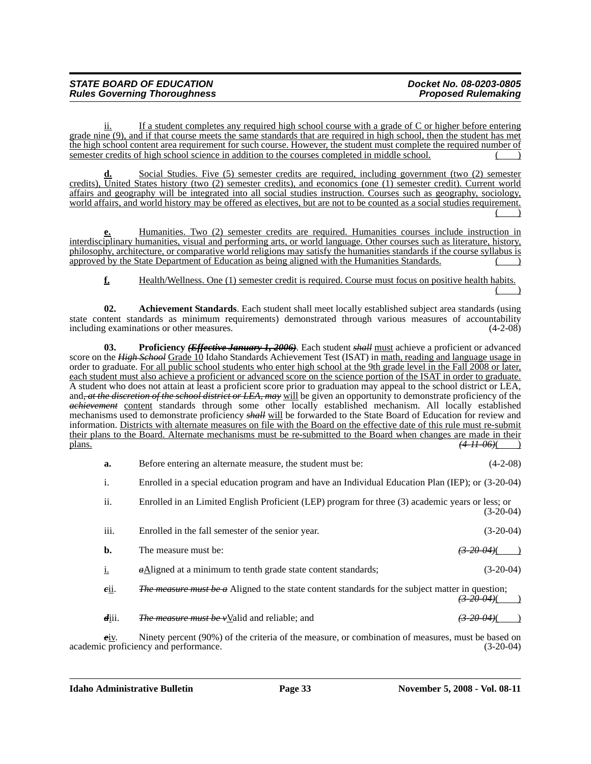ii. If a student completes any required high school course with a grade of C or higher before entering grade nine (9), and if that course meets the same standards that are required in high school, then the student has met the high school content area requirement for such course. However, the student must complete the required number of semester credits of high school science in addition to the courses completed in middle school.

Social Studies. Five (5) semester credits are required, including government (two (2) semester credits), United States history (two (2) semester credits), and economics (one (1) semester credit). Current world affairs and geography will be integrated into all social studies instruction. Courses such as geography, sociology, world affairs, and world history may be offered as electives, but are not to be counted as a social studies requirement.  $($  )

**e.** Humanities. Two (2) semester credits are required. Humanities courses include instruction in interdisciplinary humanities, visual and performing arts, or world language. Other courses such as literature, history, philosophy, architecture, or comparative world religions may satisfy the humanities standards if the course syllabus is approved by the State Department of Education as being aligned with the Humanities Standards.

**f.** Health/Wellness. One (1) semester credit is required. Course must focus on positive health habits.  $($  )

**02. Achievement Standards**. Each student shall meet locally established subject area standards (using state content standards as minimum requirements) demonstrated through various measures of accountability including examinations or other measures. (4-2-08) including examinations or other measures.

**03. Proficiency** *(Effective January 1, 2006)*. Each student *shall* must achieve a proficient or advanced score on the *High School* Grade 10 Idaho Standards Achievement Test (ISAT) in math, reading and language usage in order to graduate. For all public school students who enter high school at the 9th grade level in the Fall 2008 or later, each student must also achieve a proficient or advanced score on the science portion of the ISAT in order to graduate. A student who does not attain at least a proficient score prior to graduation may appeal to the school district or LEA, and*, at the discretion of the school district or LEA, may* will be given an opportunity to demonstrate proficiency of the *achievement* content standards through some other locally established mechanism. All locally established mechanisms used to demonstrate proficiency *shall* will be forwarded to the State Board of Education for review and information. Districts with alternate measures on file with the Board on the effective date of this rule must re-submit their plans to the Board. Alternate mechanisms must be re-submitted to the Board when changes are made in their plans.  $(4H\ 06)(\ )$  $(4-11-06)$ ( )

| a.                         | Before entering an alternate measure, the student must be:                                              | $(4-2-08)$             |
|----------------------------|---------------------------------------------------------------------------------------------------------|------------------------|
| i.                         | Enrolled in a special education program and have an Individual Education Plan (IEP); or (3-20-04)       |                        |
| ii.                        | Enrolled in an Limited English Proficient (LEP) program for three (3) academic years or less; or        | $(3-20-04)$            |
| iii.                       | Enrolled in the fall semester of the senior year.                                                       | $(3-20-04)$            |
| b.                         | The measure must be:                                                                                    | <del>(3-20-04)</del> ( |
| $\underline{\mathbf{i}}$ . | $\alpha$ Aligned at a minimum to tenth grade state content standards;                                   | $(3-20-04)$            |
| eii.                       | <i>The measure must be a</i> Aligned to the state content standards for the subject matter in question; |                        |

*d*iii. *The measure must be v*Valid and reliable; and

*eiv.* Ninety percent (90%) of the criteria of the measure, or combination of measures, must be based on c proficiency and performance. academic proficiency and performance.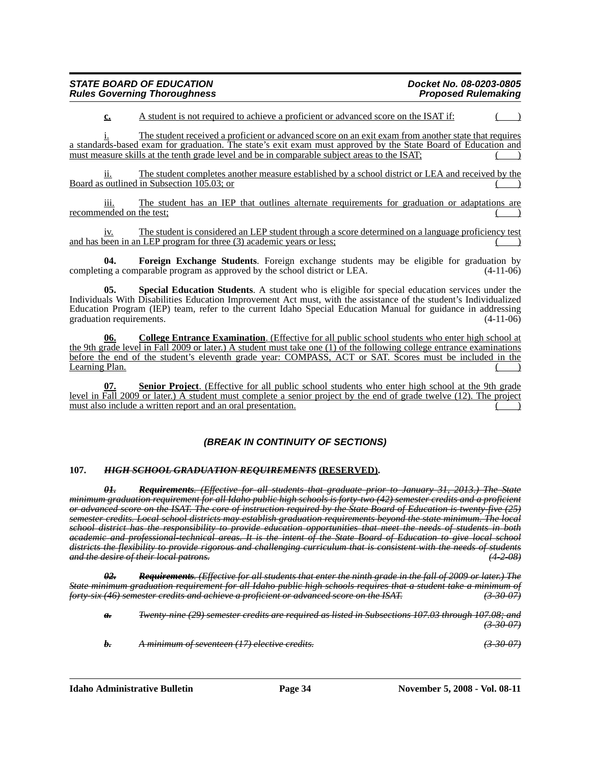| <b>STATE BOARD OF EDUCATION</b>     | Docket No. 08-0203-0805    |
|-------------------------------------|----------------------------|
| <b>Rules Governing Thoroughness</b> | <b>Proposed Rulemaking</b> |

**c.** A student is not required to achieve a proficient or advanced score on the ISAT if:

i. The student received a proficient or advanced score on an exit exam from another state that requires a standards-based exam for graduation. The state's exit exam must approved by the State Board of Education and must measure skills at the tenth grade level and be in comparable subject areas to the ISAT;

ii. The student completes another measure established by a school district or LEA and received by the Board as outlined in Subsection  $105.03$ ; or

iii. The student has an IEP that outlines alternate requirements for graduation or adaptations are recommended on the test;

iv. The student is considered an LEP student through a score determined on a language proficiency test and has been in an LEP program for three (3) academic years or less;

**04. Foreign Exchange Students**. Foreign exchange students may be eligible for graduation by ng a comparable program as approved by the school district or LEA.  $(4-11-06)$ completing a comparable program as approved by the school district or LEA.

**05. Special Education Students**. A student who is eligible for special education services under the Individuals With Disabilities Education Improvement Act must, with the assistance of the student's Individualized Education Program (IEP) team, refer to the current Idaho Special Education Manual for guidance in addressing graduation requirements.

**06. College Entrance Examination**. (Effective for all public school students who enter high school at the 9th grade level in Fall 2009 or later.) A student must take one (1) of the following college entrance examinations before the end of the student's eleventh grade year: COMPASS, ACT or SAT. Scores must be included in the Learning Plan.

**07. Senior Project**. (Effective for all public school students who enter high school at the 9th grade level in Fall 2009 or later.) A student must complete a senior project by the end of grade twelve (12). The project must also include a written report and an oral presentation.

## *(BREAK IN CONTINUITY OF SECTIONS)*

#### **107.** *HIGH SCHOOL GRADUATION REQUIREMENTS* **(RESERVED).**

*01. Requirements. (Effective for all students that graduate prior to January 31, 2013.) The State minimum graduation requirement for all Idaho public high schools is forty-two (42) semester credits and a proficient or advanced score on the ISAT. The core of instruction required by the State Board of Education is twenty-five (25) semester credits. Local school districts may establish graduation requirements beyond the state minimum. The local school district has the responsibility to provide education opportunities that meet the needs of students in both academic and professional-technical areas. It is the intent of the State Board of Education to give local school districts the flexibility to provide rigorous and challenging curriculum that is consistent with the needs of students and the desire of their local patrons.* 

*02. Requirements. (Effective for all students that enter the ninth grade in the fall of 2009 or later.) The State minimum graduation requirement for all Idaho public high schools requires that a student take a minimum of forty-six (46) semester credits and achieve a proficient or advanced score on the ISAT. (3-30-07)*

*a. Twenty-nine (29) semester credits are required as listed in Subsections 107.03 through 107.08; and (3-30-07)*

*b. A minimum of seventeen (17) elective credits. (3-30-07)*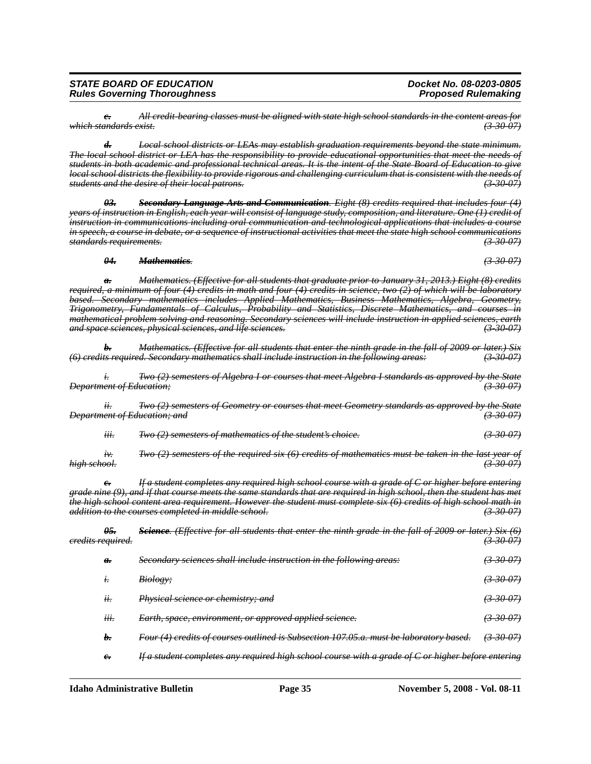**Idaho Administrative Bulletin** Page 35 November 5, 2008 - Vol. 08-11

*05. Science. (Effective for all students that enter the ninth grade in the fall of 2009 or later.) Six (6) credits required. (3-30-07) a. Secondary sciences shall include instruction in the following areas: (3-30-07) i. Biology; (3-30-07) ii. Physical science or chemistry; and (3-30-07) iii. Earth, space, environment, or approved applied science. (3-30-07) b. Four (4) credits of courses outlined is Subsection 107.05.a. must be laboratory based. (3-30-07) c. If a student completes any required high school course with a grade of C or higher before entering* 

*Department of Education; and* 

*i. Two (2) semesters of Algebra I or courses that meet Algebra I standards as approved by the State Department of Education; (3-30-07)*

*required, a minimum of four (4) credits in math and four (4) credits in science, two (2) of which will be laboratory based. Secondary mathematics includes Applied Mathematics, Business Mathematics, Algebra, Geometry, Trigonometry, Fundamentals of Calculus, Probability and Statistics, Discrete Mathematics, and courses in mathematical problem solving and reasoning. Secondary sciences will include instruction in applied sciences, earth and space sciences, physical sciences, and life sciences. (3-30-07)*

*(6) credits required. Secondary mathematics shall include instruction in the following areas: (3-30-07)*

*b. Mathematics. (Effective for all students that enter the ninth grade in the fall of 2009 or later.) Six* 

*ii. Two (2) semesters of Geometry or courses that meet Geometry standards as approved by the State* 

*iii. Two (2) semesters of mathematics of the student's choice. (3-30-07)*

*iv. Two (2) semesters of the required six (6) credits of mathematics must be taken in the last year of*<br>(3-30-07) (3-30-07) *high school. (3-30-07)*

*If a student completes any required high school course with a grade of C or higher before entering grade nine (9), and if that course meets the same standards that are required in high school, then the student has met the high school content area requirement. However the student must complete six (6) credits of high school math in addition to the courses completed in middle school. (3-30-07)*

*c. All credit-bearing classes must be aligned with state high school standards in the content areas for*   $which standards exist.$ 

*d. Local school districts or LEAs may establish graduation requirements beyond the state minimum. The local school district or LEA has the responsibility to provide educational opportunities that meet the needs of* 

*students in both academic and professional technical areas. It is the intent of the State Board of Education to give local school districts the flexibility to provide rigorous and challenging curriculum that is consistent with the needs of* 

*years of instruction in English, each year will consist of language study, composition, and literature. One (1) credit of instruction in communications including oral communication and technological applications that includes a course in speech, a course in debate, or a sequence of instructional activities that meet the state high school communications standards requirements. (3-30-07)*

*03. Secondary Language Arts and Communication. Eight (8) credits required that includes four (4)* 

*a. Mathematics. (Effective for all students that graduate prior to January 31, 2013.) Eight (8) credits* 

*STATE BOARD OF EDUCATION Docket No. 08-0203-0805* **Rules Governing Thoroughness** 

*students and the desire of their local patrons.* 

*04. Mathematics. (3-30-07)*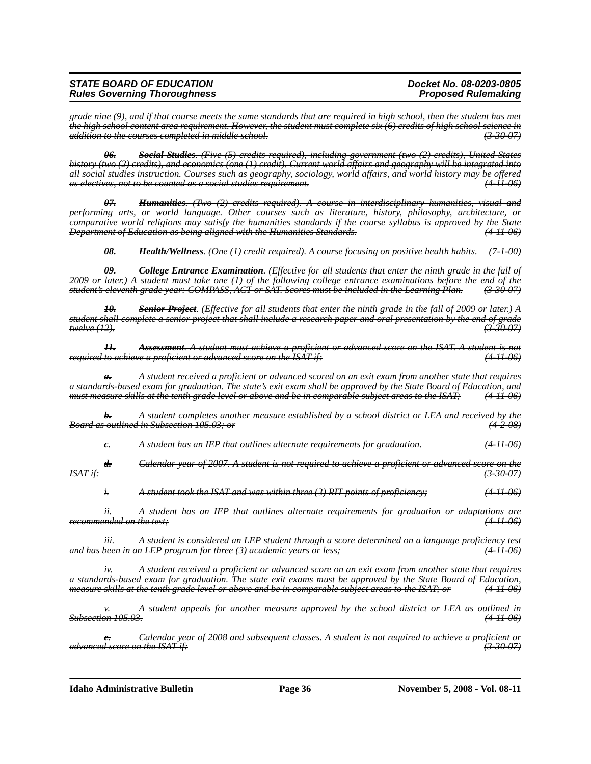#### *STATE BOARD OF EDUCATION Docket No. 08-0203-0805 Rules Governing Thoroughness*

*grade nine (9), and if that course meets the same standards that are required in high school, then the student has met the high school content area requirement. However, the student must complete six (6) credits of high school science in addition to the courses completed in middle school. (3-30-07)*

*06. Social Studies. (Five (5) credits required), including government (two (2) credits), United States history (two (2) credits), and economics (one (1) credit). Current world affairs and geography will be integrated into all social studies instruction. Courses such as geography, sociology, world affairs, and world history may be offered as electives, not to be counted as a social studies requirement. (4-11-06)*

*07. Humanities. (Two (2) credits required). A course in interdisciplinary humanities, visual and performing arts, or world language. Other courses such as literature, history, philosophy, architecture, or comparative world religions may satisfy the humanities standards if the course syllabus is approved by the State Department of Education as being aligned with the Humanities Standards.* 

*08. Health/Wellness. (One (1) credit required). A course focusing on positive health habits. (7-1-00)*

*09. College Entrance Examination. (Effective for all students that enter the ninth grade in the fall of 2009 or later.) A student must take one (1) of the following college entrance examinations before the end of the student's eleventh grade year: COMPASS, ACT or SAT. Scores must be included in the Learning Plan. (3-30-07)*

*10. Senior Project. (Effective for all students that enter the ninth grade in the fall of 2009 or later.) A student shall complete a senior project that shall include a research paper and oral presentation by the end of grade twelve (12). (3-30-07)*

*11. Assessment. A student must achieve a proficient or advanced score on the ISAT. A student is not required to achieve a proficient or advanced score on the ISAT if:* 

*a. A student received a proficient or advanced scored on an exit exam from another state that requires a standards-based exam for graduation. The state's exit exam shall be approved by the State Board of Education, and must measure skills at the tenth grade level or above and be in comparable subject areas to the ISAT; (4-11-06)*

*b. A student completes another measure established by a school district or LEA and received by the Board as outlined in Subsection 105.03; or (4-2-08)*

*c. A student has an IEP that outlines alternate requirements for graduation. (4-11-06)*

*d. Calendar year of 2007. A student is not required to achieve a proficient or advanced score on the ISAT if: (3-30-07)*

*i. A student took the ISAT and was within three (3) RIT points of proficiency; (4-11-06)*

*ii. A student has an IEP that outlines alternate requirements for graduation or adaptations are recommended on the test; (4-11-06)*

*iii. A student is considered an LEP student through a score determined on a language proficiency test and has been in an LEP program for three (3) academic years or less;-*

*iv. A student received a proficient or advanced score on an exit exam from another state that requires a standards-based exam for graduation. The state exit exams must be approved by the State Board of Education, measure skills at the tenth grade level or above and be in comparable subject areas to the ISAT; or (4-11-06)*

*v. A student appeals for another measure approved by the school district or LEA as outlined in Subsection 105.03. (4-11-06)*

*e. Calendar year of 2008 and subsequent classes. A student is not required to achieve a proficient or advanced score on the ISAT if: (3-30-07)*